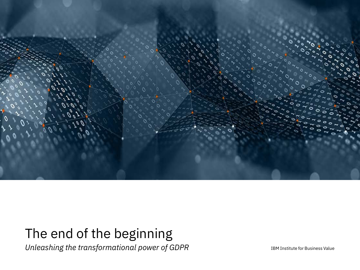

# The end of the beginning

*Unleashing the transformational power of GDPR* 

IBM Institute for Business Value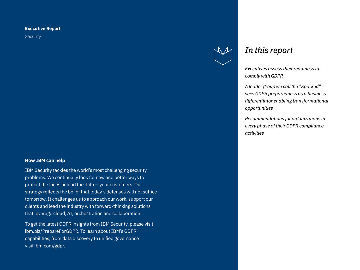### **Executive Report**

Security

### **How IBM can help**

IBM Security tackles the world's most challenging security problems. We continually look for new and better ways to protect the faces behind the data — your customers. Our strategy reflects the belief that today's defenses will not suffice tomorrow. It challenges us to approach our work, support our clients and lead the industry with forward-thinking solutions that leverage cloud, AI, orchestration and collaboration.

To get the latest GDPR insights from IBM Security, please visit ibm.biz/PrepareForGDPR. To learn about IBM's GDPR capabilities, from data discovery to unified governance visit ibm.com/gdpr.



# *In this report*

*Executives assess their readiness to comply with GDPR* 

*A leader group we call the "Sparked" sees GDPR preparedness as a business differentiator enabling transformational opportunities* 

*Recommendations for organizations in every phase of their GDPR compliance activities*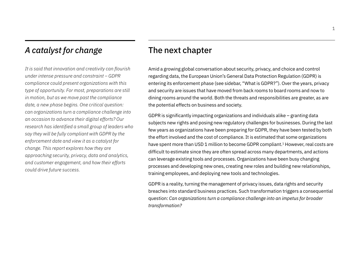# *A catalyst for change*

*It is said that innovation and creativity can flourish under intense pressure and constraint – GDPR compliance could present organizations with this type of opportunity. For most, preparations are still in motion, but as we move past the compliance date, a new phase begins. One critical question: can organizations turn a compliance challenge into an occasion to advance their digital efforts? Our research has identified a small group of leaders who say they will be fully compliant with GDPR by the enforcement date and view it as a catalyst for change. This report explores how they are approaching security, privacy, data and analytics, and customer engagement, and how their efforts could drive future success.*

# The next chapter

Amid a growing global conversation about security, privacy, and choice and control regarding data, the European Union's General Data Protection Regulation (GDPR) is entering its enforcement phase (see sidebar, "What is GDPR?"). Over the years, privacy and security are issues that have moved from back rooms to board rooms and now to dining rooms around the world. Both the threats and responsibilities are greater, as are the potential effects on business and society.

GDPR is significantly impacting organizations and individuals alike – granting data subjects new rights and posing new regulatory challenges for businesses. During the last few years as organizations have been preparing for GDPR, they have been tested by both the effort involved and the cost of compliance. It is estimated that some organizations have spent more than USD 1 million to become GDPR compliant.<sup>1</sup> However, real costs are difficult to estimate since they are often spread across many departments, and actions can leverage existing tools and processes. Organizations have been busy changing processes and developing new ones, creating new roles and building new relationships, training employees, and deploying new tools and technologies.

GDPR is a reality, turning the management of privacy issues, data rights and security breaches into standard business practices. Such transformation triggers a consequential question: *Can organizations turn a compliance challenge into an impetus for broader transformation?*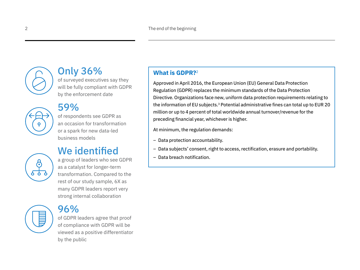

# Only 36%

of surveyed executives say they will be fully compliant with GDPR by the enforcement date

# 59%

of respondents see GDPR as an occasion for transformation or a spark for new data-led business models

# We identified

a group of leaders who see GDPR as a catalyst for longer-term transformation. Compared to the rest of our study sample, 6X as many GDPR leaders report very strong internal collaboration

96%

of GDPR leaders agree that proof of compliance with GDPR will be viewed as a positive differentiator by the public

## **What is GDPR?**<sup>2</sup>

Approved in April 2016, the European Union (EU) General Data Protection Regulation (GDPR) replaces the minimum standards of the Data Protection Directive. Organizations face new, uniform data protection requirements relating to the information of EU subjects.<sup>3</sup> Potential administrative fines can total up to EUR 20 million or up to 4 percent of total worldwide annual turnover/revenue for the preceding financial year, whichever is higher.

At minimum, the regulation demands:

- Data protection accountability.
- Data subjects' consent, right to access, rectification, erasure and portability.
- Data breach notification.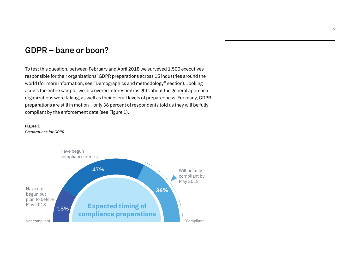# GDPR – bane or boon?

To test this question, between February and April 2018 we surveyed 1,500 executives responsible for their organizations' GDPR preparations across 15 industries around the world (for more information, see "Demographics and methodology" section). Looking across the entire sample, we discovered interesting insights about the general approach organizations were taking, as well as their overall levels of preparedness. For many, GDPR preparations are still in motion – only 36 percent of respondents told us they will be fully compliant by the enforcement date (see Figure 1).



*Preparations for GDPR*

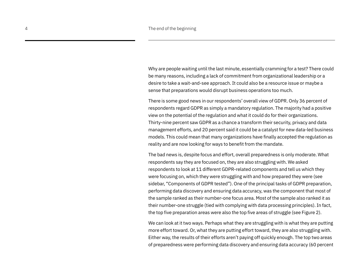Why are people waiting until the last minute, essentially cramming for a test? There could be many reasons, including a lack of commitment from organizational leadership or a desire to take a wait-and-see approach. It could also be a resource issue or maybe a sense that preparations would disrupt business operations too much.

There is some good news in our respondents' overall view of GDPR. Only 36 percent of respondents regard GDPR as simply a mandatory regulation. The majority had a positive view on the potential of the regulation and what it could do for their organizations. Thirty-nine percent saw GDPR as a chance a transform their security, privacy and data management efforts, and 20 percent said it could be a catalyst for new data-led business models. This could mean that many organizations have finally accepted the regulation as reality and are now looking for ways to benefit from the mandate.

The bad news is, despite focus and effort, overall preparedness is only moderate. What respondents say they are focused on, they are also struggling with. We asked respondents to look at 11 different GDPR-related components and tell us which they were focusing on, which they were struggling with and how prepared they were (see sidebar, "Components of GDPR tested"). One of the principal tasks of GDPR preparation, performing data discovery and ensuring data accuracy, was the component that most of the sample ranked as their number-one focus area. Most of the sample also ranked it as their number-one struggle (tied with complying with data processing principles). In fact, the top five preparation areas were also the top five areas of struggle (see Figure 2).

We can look at it two ways. Perhaps what they are struggling with is what they are putting more effort toward. Or, what they are putting effort toward, they are also struggling with. Either way, the results of their efforts aren't paying off quickly enough. The top two areas of preparedness were performing data discovery and ensuring data accuracy (60 percent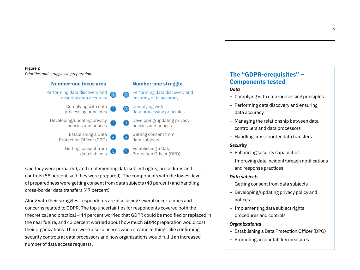### **Figure 2**

*Priorities and struggles in preparation*

### **Number-one focus area**



**Number-one struggle**

said they were prepared), and implementing data subject rights, procedures and controls (58 percent said they were prepared). The components with the lowest level of preparedness were getting consent from data subjects (48 percent) and handling cross-border data transfers (47 percent).

Along with their struggles, respondents are also facing several uncertainties and concerns related to GDPR. The top uncertainties for respondents covered both the theoretical and practical – 44 percent worried that GDPR could be modified or replaced in the near future, and 43 percent worried about how much GDPR preparation would cost their organizations. There were also concerns when it came to things like confirming security controls at data processors and how organizations would fulfill an increased number of data access requests.

## **The "GDPR-erequisites" – Components tested**

### *Data*

- Complying with data-processing principles
- Performing data discovery and ensuring data accuracy
- Managing the relationship between data controllers and data processors
- Handling cross-border data transfers

### *Security*

- Enhancing security capabilities
- Improving data incident/breach notifications and response practices

### *Data subjects*

- Getting consent from data subjects
- Developing/updating privacy policy and notices
- Implementing data subject rights procedures and controls

### *Organizational*

- Establishing a Data Protection Officer (DPO)
- Promoting accountability measures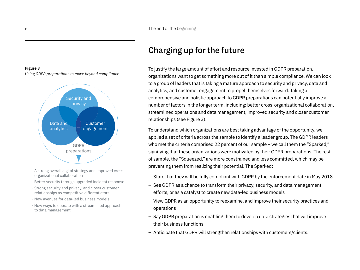# Charging up for the future

To justify the large amount of effort and resource invested in GDPR preparation, organizations want to get something more out of it than simple compliance. We can look to a group of leaders that is taking a mature approach to security and privacy, data and analytics, and customer engagement to propel themselves forward. Taking a comprehensive and holistic approach to GDPR preparations can potentially improve a number of factors in the longer term, including: better cross-organizational collaboration, streamlined operations and data management, improved security and closer customer relationships (see Figure 3).

To understand which organizations are best taking advantage of the opportunity, we applied a set of criteria across the sample to identify a leader group. The GDPR leaders who met the criteria comprised 22 percent of our sample – we call them the "Sparked," signifying that these organizations were motivated by their GDPR preparations. The rest of sample, the "Squeezed," are more constrained and less committed, which may be preventing them from realizing their potential. The Sparked:

- State that they will be fully compliant with GDPR by the enforcement date in May 2018
- See GDPR as a chance to transform their privacy, security, and data management efforts, or as a catalyst to create new data-led business models
- View GDPR as an opportunity to reexamine, and improve their security practices and operations
- Say GDPR preparation is enabling them to develop data strategies that will improve their business functions
- Anticipate that GDPR will strengthen relationships with customers/clients.

### **Figure 3**

*Using GDPR preparations to move beyond compliance*



- A strong overall digital strategy and improved crossorganizational collaboration
- Better security through upgraded incident response
- Strong security and privacy, and closer customer relationships as competitive differentiators
- New avenues for data-led business models
- New ways to operate with a streamlined approach to data management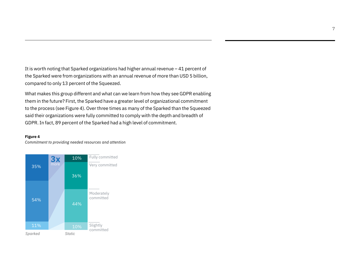It is worth noting that Sparked organizations had higher annual revenue – 41 percent of the Sparked were from organizations with an annual revenue of more than USD 5 billion, compared to only 13 percent of the Squeezed.

What makes this group different and what can we learn from how they see GDPR enabling them in the future? First, the Sparked have a greater level of organizational commitment to the process (see Figure 4). Over three times as many of the Sparked than the Squeezed said their organizations were fully committed to comply with the depth and breadth of GDPR. In fact, 89 percent of the Sparked had a high level of commitment.

### **Figure 4**

*Commitment to providing needed resources and attention*

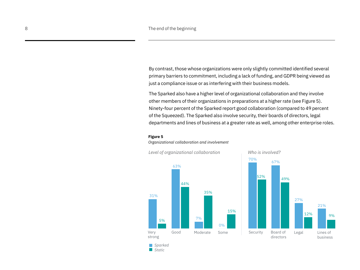By contrast, those whose organizations were only slightly committed identified several primary barriers to commitment, including a lack of funding, and GDPR being viewed as just a compliance issue or as interfering with their business models.

The Sparked also have a higher level of organizational collaboration and they involve other members of their organizations in preparations at a higher rate (see Figure 5). Ninety-four percent of the Sparked report good collaboration (compared to 49 percent of the Squeezed). The Sparked also involve security, their boards of directors, legal departments and lines of business at a greater rate as well, among other enterprise roles.

### **Figure 5**

### *Organizational collaboration and involvement*



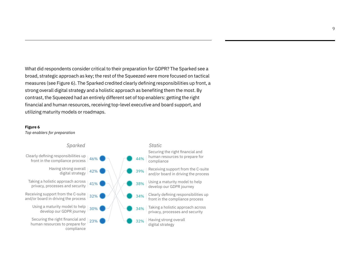What did respondents consider critical to their preparation for GDPR? The Sparked see a broad, strategic approach as key; the rest of the Squeezed were more focused on tactical measures (see Figure 6). The Sparked credited clearly defining responsibilities up front, a strong overall digital strategy and a holistic approach as benefiting them the most. By contrast, the Squeezed had an entirely different set of top enablers: getting the right financial and human resources, receiving top-level executive and board support, and utilizing maturity models or roadmaps.

### **Figure 6**

*Top enablers for preparation*

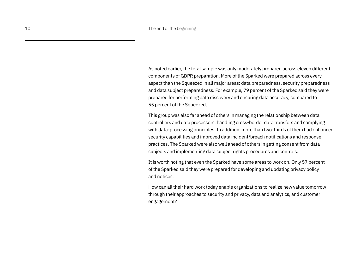As noted earlier, the total sample was only moderately prepared across eleven different components of GDPR preparation. More of the Sparked were prepared across every aspect than the Squeezed in all major areas: data preparedness, security preparedness and data subject preparedness. For example, 79 percent of the Sparked said they were prepared for performing data discovery and ensuring data accuracy, compared to 55 percent of the Squeezed.

This group was also far ahead of others in managing the relationship between data controllers and data processors, handling cross-border data transfers and complying with data-processing principles. In addition, more than two-thirds of them had enhanced security capabilities and improved data incident/breach notifications and response practices. The Sparked were also well ahead of others in getting consent from data subjects and implementing data subject rights procedures and controls.

It is worth noting that even the Sparked have some areas to work on. Only 57 percent of the Sparked said they were prepared for developing and updating privacy policy and notices.

How can all their hard work today enable organizations to realize new value tomorrow through their approaches to security and privacy, data and analytics, and customer engagement?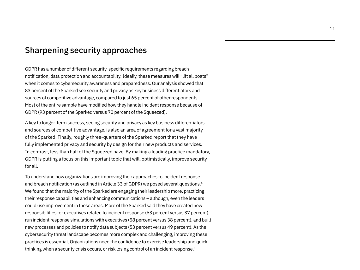# Sharpening security approaches

GDPR has a number of different security-specific requirements regarding breach notification, data protection and accountability. Ideally, these measures will "lift all boats" when it comes to cybersecurity awareness and preparedness. Our analysis showed that 83 percent of the Sparked see security and privacy as key business differentiators and sources of competitive advantage, compared to just 65 percent of other respondents. Most of the entire sample have modified how they handle incident response because of GDPR (93 percent of the Sparked versus 70 percent of the Squeezed).

A key to longer-term success, seeing security and privacy as key business differentiators and sources of competitive advantage, is also an area of agreement for a vast majority of the Sparked. Finally, roughly three-quarters of the Sparked report that they have fully implemented privacy and security by design for their new products and services. In contrast, less than half of the Squeezed have. By making a leading practice mandatory, GDPR is putting a focus on this important topic that will, optimistically, improve security for all.

To understand how organizations are improving their approaches to incident response and breach notification (as outlined in Article 33 of GDPR) we posed several questions.<sup>4</sup> We found that the majority of the Sparked are engaging their leadership more, practicing their response capabilities and enhancing communications – although, even the leaders could use improvement in these areas. More of the Sparked said they have created new responsibilities for executives related to incident response (63 percent versus 37 percent), run incident response simulations with executives (58 percent versus 38 percent), and built new processes and policies to notify data subjects (53 percent versus 49 percent). As the cybersecurity threat landscape becomes more complex and challenging, improving these practices is essential. Organizations need the confidence to exercise leadership and quick thinking when a security crisis occurs, or risk losing control of an incident response.<sup>5</sup>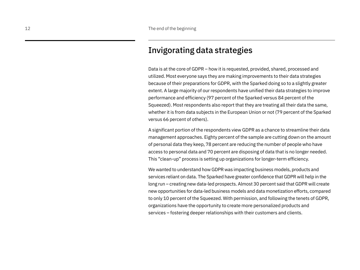# Invigorating data strategies

Data is at the core of GDPR – how it is requested, provided, shared, processed and utilized. Most everyone says they are making improvements to their data strategies because of their preparations for GDPR, with the Sparked doing so to a slightly greater extent. A large majority of our respondents have unified their data strategies to improve performance and efficiency (97 percent of the Sparked versus 84 percent of the Squeezed). Most respondents also report that they are treating all their data the same, whether it is from data subjects in the European Union or not (79 percent of the Sparked versus 66 percent of others).

A significant portion of the respondents view GDPR as a chance to streamline their data management approaches. Eighty percent of the sample are cutting down on the amount of personal data they keep, 78 percent are reducing the number of people who have access to personal data and 70 percent are disposing of data that is no longer needed. This "clean-up" process is setting up organizations for longer-term efficiency.

We wanted to understand how GDPR was impacting business models, products and services reliant on data. The Sparked have greater confidence that GDPR will help in the long run – creating new data-led prospects. Almost 30 percent said that GDPR will create new opportunities for data-led business models and data monetization efforts, compared to only 10 percent of the Squeezed. With permission, and following the tenets of GDPR, organizations have the opportunity to create more personalized products and services – fostering deeper relationships with their customers and clients.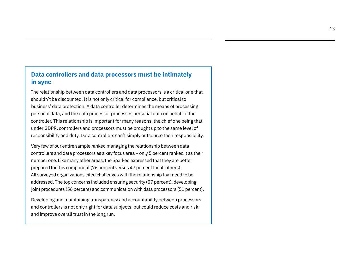## **Data controllers and data processors must be intimately in sync**

The relationship between data controllers and data processors is a critical one that shouldn't be discounted. It is not only critical for compliance, but critical to business' data protection. A data controller determines the means of processing personal data, and the data processor processes personal data on behalf of the controller. This relationship is important for many reasons, the chief one being that under GDPR, controllers and processors must be brought up to the same level of responsibility and duty. Data controllers can't simply outsource their responsibility.

Very few of our entire sample ranked managing the relationship between data controllers and data processors as a key focus area – only 5 percent ranked it as their number one. Like many other areas, the Sparked expressed that they are better prepared for this component (76 percent versus 47 percent for all others). All surveyed organizations cited challenges with the relationship that need to be addressed. The top concerns included ensuring security (57 percent), developing joint procedures (56 percent) and communication with data processors (51 percent).

Developing and maintaining transparency and accountability between processors and controllers is not only right for data subjects, but could reduce costs and risk, and improve overall trust in the long run.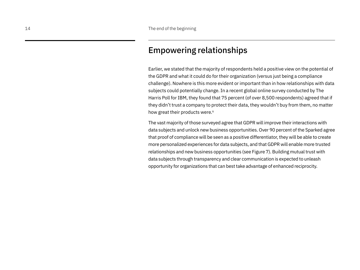# Empowering relationships

Earlier, we stated that the majority of respondents held a positive view on the potential of the GDPR and what it could do for their organization (versus just being a compliance challenge). Nowhere is this more evident or important than in how relationships with data subjects could potentially change. In a recent global online survey conducted by The Harris Poll for IBM, they found that 75 percent (of over 8,500 respondents) agreed that if they didn't trust a company to protect their data, they wouldn't buy from them, no matter how great their products were.<sup>6</sup>

The vast majority of those surveyed agree that GDPR will improve their interactions with data subjects and unlock new business opportunities. Over 90 percent of the Sparked agree that proof of compliance will be seen as a positive differentiator, they will be able to create more personalized experiences for data subjects, and that GDPR will enable more trusted relationships and new business opportunities (see Figure 7). Building mutual trust with data subjects through transparency and clear communication is expected to unleash opportunity for organizations that can best take advantage of enhanced reciprocity.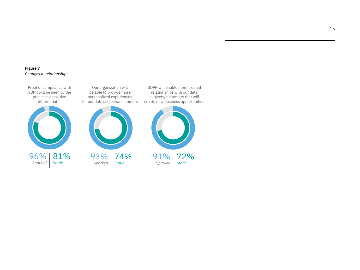### **Figure 7** *Changes to relationships*

Proof of compliance with GDPR will be seen by the public as a positive differentiator



Our organization will be able to provide more personalized experiences for our data subjects/customers



*Sparked Static*

GDPR will enable more trusted relationships with our data subjects/customers that will create new business opportunities

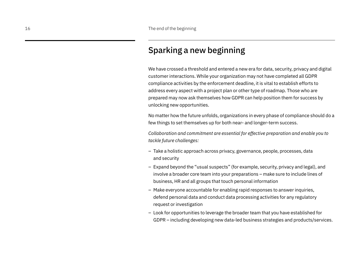# Sparking a new beginning

We have crossed a threshold and entered a new era for data, security, privacy and digital customer interactions. While your organization may not have completed all GDPR compliance activities by the enforcement deadline, it is vital to establish efforts to address every aspect with a project plan or other type of roadmap. Those who are prepared may now ask themselves how GDPR can help position them for success by unlocking new opportunities.

No matter how the future unfolds, organizations in every phase of compliance should do a few things to set themselves up for both near- and longer-term success.

*Collaboration and commitment are essential for effective preparation and enable you to tackle future challenges:*

- Take a holistic approach across privacy, governance, people, processes, data and security
- Expand beyond the "usual suspects" (for example, security, privacy and legal), and involve a broader core team into your preparations – make sure to include lines of business, HR and all groups that touch personal information
- Make everyone accountable for enabling rapid responses to answer inquiries, defend personal data and conduct data processing activities for any regulatory request or investigation
- Look for opportunities to leverage the broader team that you have established for GDPR – including developing new data-led business strategies and products/services.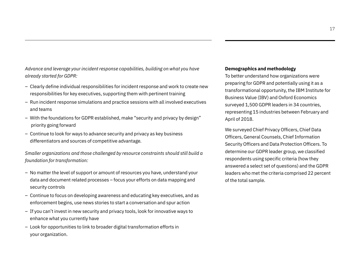*Advance and leverage your incident response capabilities, building on what you have already started for GDPR:*

- Clearly define individual responsibilities for incident response and work to create new responsibilities for key executives, supporting them with pertinent training
- Run incident response simulations and practice sessions with all involved executives and teams
- With the foundations for GDPR established, make "security and privacy by design" priority going forward
- Continue to look for ways to advance security and privacy as key business differentiators and sources of competitive advantage.

*Smaller organizations and those challenged by resource constraints should still build a foundation for transformation:*

- No matter the level of support or amount of resources you have, understand your data and document related processes – focus your efforts on data mapping and security controls
- Continue to focus on developing awareness and educating key executives, and as enforcement begins, use news stories to start a conversation and spur action
- If you can't invest in new security and privacy tools, look for innovative ways to enhance what you currently have
- Look for opportunities to link to broader digital transformation efforts in your organization.

### **Demographics and methodology**

To better understand how organizations were preparing for GDPR and potentially using it as a transformational opportunity, the IBM Institute for Business Value (IBV) and Oxford Economics surveyed 1,500 GDPR leaders in 34 countries, representing 15 industries between February and April of 2018.

We surveyed Chief Privacy Officers, Chief Data Officers, General Counsels, Chief Information Security Officers and Data Protection Officers. To determine our GDPR leader group, we classified respondents using specific criteria (how they answered a select set of questions) and the GDPR leaders who met the criteria comprised 22 percent of the total sample.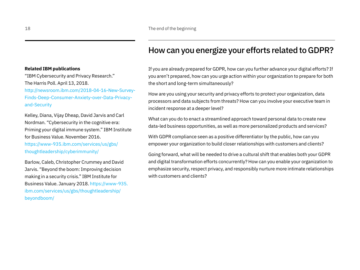# How can you energize your efforts related to GDPR?

If you are already prepared for GDPR, how can you further advance your digital efforts? If you aren't prepared, how can you urge action within your organization to prepare for both the short and long-term simultaneously?

How are you using your security and privacy efforts to protect your organization, data processors and data subjects from threats? How can you involve your executive team in incident response at a deeper level?

What can you do to enact a streamlined approach toward personal data to create new data-led business opportunities, as well as more personalized products and services?

With GDPR compliance seen as a positive differentiator by the public, how can you empower your organization to build closer relationships with customers and clients?

Going forward, what will be needed to drive a cultural shift that enables both your GDPR and digital transformation efforts concurrently? How can you enable your organization to emphasize security, respect privacy, and responsibly nurture more intimate relationships with customers and clients?

### **Related IBM publications**

"IBM Cybersecurity and Privacy Research." The Harris Poll. April 13, 2018. <http://newsroom.ibm.com/2018-04-16-New-Survey->Finds-Deep-Consumer-Anxiety-over-Data-Privacyand-Security

Kelley, Diana, Vijay Dheap, David Jarvis and Carl Nordman. "Cybersecurity in the cognitive era: Priming your digital immune system." IBM Institute for Business Value. November 2016. [https://www-935.ibm.com/services/us/gbs/](https://www-935.ibm.com/services/us/gbs/thoughtleadership/cyberimmunity/)

[thoughtleadership/cyberimmunity/](https://www-935.ibm.com/services/us/gbs/thoughtleadership/cyberimmunity/)

Barlow, Caleb, Christopher Crummey and David Jarvis. "Beyond the boom: Improving decision making in a security crisis." IBM Institute for Business Value. January 2018. [https://www-935.](https://www-935.ibm.com/services/us/gbs/thoughtleadership/beyondboom/) [ibm.com/services/us/gbs/thoughtleadership/](https://www-935.ibm.com/services/us/gbs/thoughtleadership/beyondboom/) [beyondboom/](https://www-935.ibm.com/services/us/gbs/thoughtleadership/beyondboom/)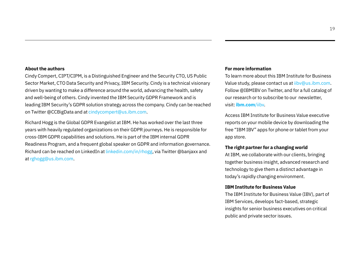### **About the authors**

Cindy Compert, CIPT/CIPM, is a Distinguished Engineer and the Security CTO, US Public Sector Market, CTO Data Security and Privacy, IBM Security. Cindy is a technical visionary driven by wanting to make a difference around the world, advancing the health, safety and well-being of others. Cindy invented the IBM Security GDPR Framework and is leading IBM Security's GDPR solution strategy across the company. Cindy can be reached on Twitter @CCBigData and at [cindycompert@us.ibm.com.](mailto:cindycompert@us.ibm.com)

Richard Hogg is the Global GDPR Evangelist at IBM. He has worked over the last three years with heavily regulated organizations on their GDPR journeys. He is responsible for cross-IBM GDPR capabilities and solutions. He is part of the IBM internal GDPR Readiness Program, and a frequent global speaker on GDPR and information governance. Richard can be reached on LinkedIn at [linkedin.com/in/rhogg](http://linkedin.com/in/rhogg), via Twitter @banjaxx and at [rghogg@us.ibm.com](mailto:rghogg@us.ibm.com).

### **For more information**

To learn more about this IBM Institute for Business Value study, please contact us at [iibv@us.ibm.com](mailto:iibv@us.ibm.com). Follow @IBMIBV on Twitter, and for a full catalog of our research or to subscribe to our newsletter, visit: **[ibm.com](ibm.com/iibv)**/iibv.

Access IBM Institute for Business Value executive reports on your mobile device by downloading the free "IBM IBV" apps for phone or tablet from your app store.

### **The right partner for a changing world**

At IBM, we collaborate with our clients, bringing together business insight, advanced research and technology to give them a distinct advantage in today's rapidly changing environment.

### **IBM Institute for Business Value**

The IBM Institute for Business Value (IBV), part of IBM Services, develops fact-based, strategic insights for senior business executives on critical public and private sector issues.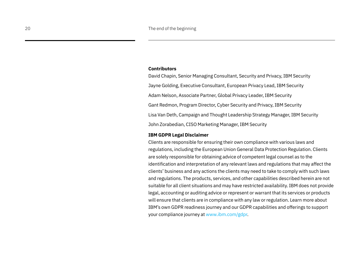### **Contributors**

David Chapin, Senior Managing Consultant, Security and Privacy, IBM Security Jayne Golding, Executive Consultant, European Privacy Lead, IBM Security Adam Nelson, Associate Partner, Global Privacy Leader, IBM Security Gant Redmon, Program Director, Cyber Security and Privacy, IBM Security Lisa Van Deth, Campaign and Thought Leadership Strategy Manager, IBM Security John Zorabedian, CISO Marketing Manager, IBM Security

### **IBM GDPR Legal Disclaimer**

Clients are responsible for ensuring their own compliance with various laws and regulations, including the European Union General Data Protection Regulation. Clients are solely responsible for obtaining advice of competent legal counsel as to the identification and interpretation of any relevant laws and regulations that may affect the clients' business and any actions the clients may need to take to comply with such laws and regulations. The products, services, and other capabilities described herein are not suitable for all client situations and may have restricted availability. IBM does not provide legal, accounting or auditing advice or represent or warrant that its services or products will ensure that clients are in compliance with any law or regulation. Learn more about IBM's own GDPR readiness journey and our GDPR capabilities and offerings to support your compliance journey at [www.ibm.com/gdpr.](http://www.ibm.com/gdpr)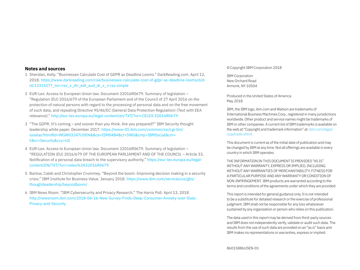### **Notes and sources**

- 1 Sheridan, Kelly. "Businesses Calculate Cost of GDPR as Deadline Looms." [DarkReading.com](http://DarkReading.com). April 12, 2018. [https://www.darkreading.com/risk/businesses-calculate-cost-of-gdpr-as-deadline-looms/d/d](https://www.darkreading.com/risk/businesses-calculate-cost-of-gdpr-as-deadline-looms/d/d-id/1331527?_mc=rss_x_drr_edt_aud_dr_x_x-rss-simple)[id/1331527?\\_mc=rss\\_x\\_drr\\_edt\\_aud\\_dr\\_x\\_x-rss-simple](https://www.darkreading.com/risk/businesses-calculate-cost-of-gdpr-as-deadline-looms/d/d-id/1331527?_mc=rss_x_drr_edt_aud_dr_x_x-rss-simple)
- 2 EUR-Lex: Access to European Union law. Document 32016R0679. Summary of legislation "Regulation (EU) 2016/679 of the European Parliament and of the Council of 27 April 2016 on the protection of natural persons with regard to the processing of personal data and on the free movement of such data, and repealing Directive 95/46/EC (General Data Protection Regulation) (Text with EEA relevance)." [http://eur-lex.europa.eu/legal-content/en/TXT/?uri=CELEX:](http://eur-lex.europa.eu/legal-content/en/TXT/?uri=CELEX)32016R0679
- 3 "The GDPR: It's coming and sooner than you think. Are you prepared?" IBM Security thought leadership white paper. December 2017. [https://www-01.ibm.com/common/ssi/cgi-bin/](https://www-01.ibm.com/common/ssi/cgi-bin/ssialias?htmlfid=WGW03247USEN&&ce=ISM0484&ct=SWG&cmp=IBMSocial&cm=) [ssialias?htmlfid=WGW03247USEN&&ce=ISM0484&ct=SWG&cmp=IBMSocial&cm=](https://www-01.ibm.com/common/ssi/cgi-bin/ssialias?htmlfid=WGW03247USEN&&ce=ISM0484&ct=SWG&cmp=IBMSocial&cm=) h&cr=Security&ccy=US
- 4 EUR-Lex: Access to European Union law. Document 32016R0679. Summary of legislation "REGULATION (EU) 2016/679 OF THE EUROPEAN PARLIAMENT AND OF THE COUNCIL – Article 33, Notification of a personal data breach to the supervisory authority." [https://eur-lex.europa.eu/legal](https://eur-lex.europa.eu/legal-content/EN/TXT/?uri=celex%3A32016R0679)[content/EN/TXT/?uri=celex%3A32016R0679](https://eur-lex.europa.eu/legal-content/EN/TXT/?uri=celex%3A32016R0679)
- 5 Barlow, Caleb and Christopher Crummey. "Beyond the boom: Improving decision making in a security crisis." IBM Institute for Business Value. January 2018. [https://www.ibm.com/services/us/gbs/](https://www.ibm.com/services/us/gbs/thoughtleadership/beyondboom/) [thoughtleadership/beyondboom/](https://www.ibm.com/services/us/gbs/thoughtleadership/beyondboom/)
- 6 IBM News Room. "IBM Cybersecurity and Privacy Research." The Harris Poll. April 13, 2018. [http://newsroom.ibm.com/2018-04-16-New-Survey-Finds-Deep-Consumer-Anxiety-over-Data-](http://newsroom.ibm.com/2018-04-16-New-Survey-Finds-Deep-Consumer-Anxiety-over-Data-Privacy-and-Security)[Privacy-and-Security](http://newsroom.ibm.com/2018-04-16-New-Survey-Finds-Deep-Consumer-Anxiety-over-Data-Privacy-and-Security)

### © Copyright IBM Corporation 2018

IBM Corporation New Orchard Road Armonk, NY 10504

Produced in the United States of America May 2018

IBM, the IBM logo,<ibm.com> and Watson are trademarks of International Business Machines Corp., registered in many jurisdictions worldwide. Other product and service names might be trademarks of IBM or other companies. A current list of IBM trademarks is available on the web at "Copyright and trademark information" at: [ibm.com/legal/](ibm.com/legal/copytrade.shtml) [copytrade.shtml.](ibm.com/legal/copytrade.shtml)

This document is current as of the initial date of publication and may be changed by IBM at any time. Not all offerings are available in every country in which IBM operates.

THE INFORMATION IN THIS DOCUMENT IS PROVIDED "AS IS" WITHOUT ANY WARRANTY, EXPRESS OR IMPLIED, INCLUDING WITHOUT ANY WARRANTIES OF MERCHANTABILITY, FITNESS FOR A PARTICULAR PURPOSE AND ANY WARRANTY OR CONDITION OF NON-INFRINGEMENT. IBM products are warranted according to the terms and conditions of the agreements under which they are provided.

This report is intended for general guidance only. It is not intended to be a substitute for detailed research or the exercise of professional judgment. IBM shall not be responsible for any loss whatsoever sustained by any organization or person who relies on this publication.

The data used in this report may be derived from third-party sources and IBM does not independently verify, validate or audit such data. The results from the use of such data are provided on an "as is" basis and IBM makes no representations or warranties, express or implied.